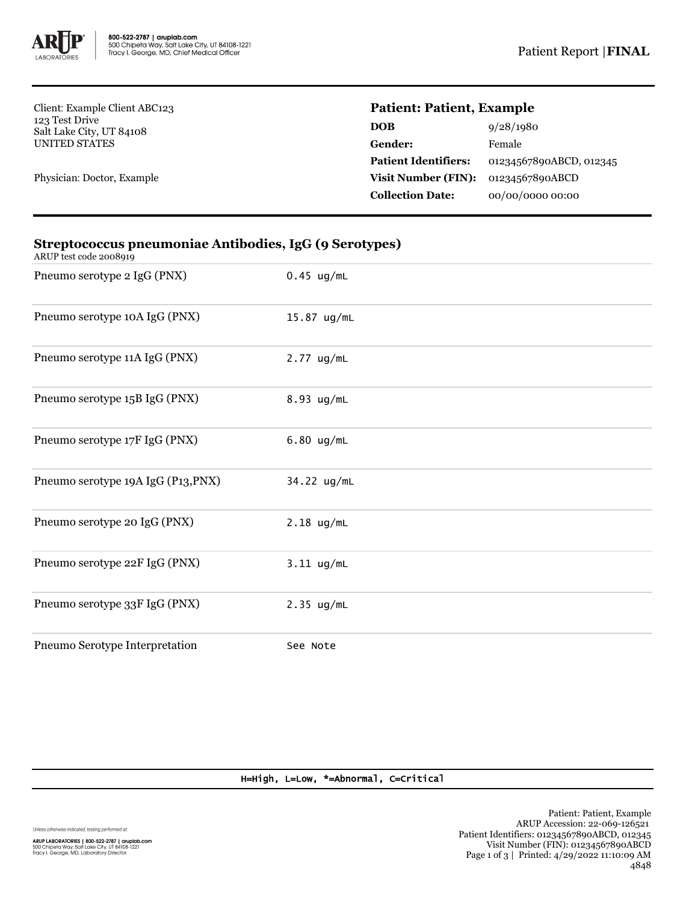

Client: Example Client ABC123 123 Test Drive Salt Lake City, UT 84108 UNITED STATES

Physician: Doctor, Example

## **Patient: Patient, Example**

| DOB                         | 9/28/1980               |
|-----------------------------|-------------------------|
| Gender:                     | Female                  |
| <b>Patient Identifiers:</b> | 01234567890ABCD, 012345 |
| <b>Visit Number (FIN):</b>  | 01234567890ABCD         |
| <b>Collection Date:</b>     | 00/00/0000 00:00        |
|                             |                         |

| ARUP test code 2008919             |              |
|------------------------------------|--------------|
| Pneumo serotype 2 IgG (PNX)        | $0.45$ ug/mL |
| Pneumo serotype 10A IgG (PNX)      | 15.87 ug/mL  |
| Pneumo serotype 11A IgG (PNX)      | $2.77$ ug/mL |
| Pneumo serotype 15B IgG (PNX)      | 8.93 ug/mL   |
| Pneumo serotype 17F IgG (PNX)      | $6.80$ ug/mL |
| Pneumo serotype 19A IgG (P13, PNX) | 34.22 ug/mL  |
| Pneumo serotype 20 IgG (PNX)       | $2.18$ ug/mL |
| Pneumo serotype 22F IgG (PNX)      | $3.11$ ug/mL |
| Pneumo serotype 33F IgG (PNX)      | $2.35$ ug/mL |
| Pneumo Serotype Interpretation     | See Note     |

## **Streptococcus pneumoniae Antibodies, IgG (9 Serotypes)**

H=High, L=Low, \*=Abnormal, C=Critical

Unless otherwise indicated, testing performed at: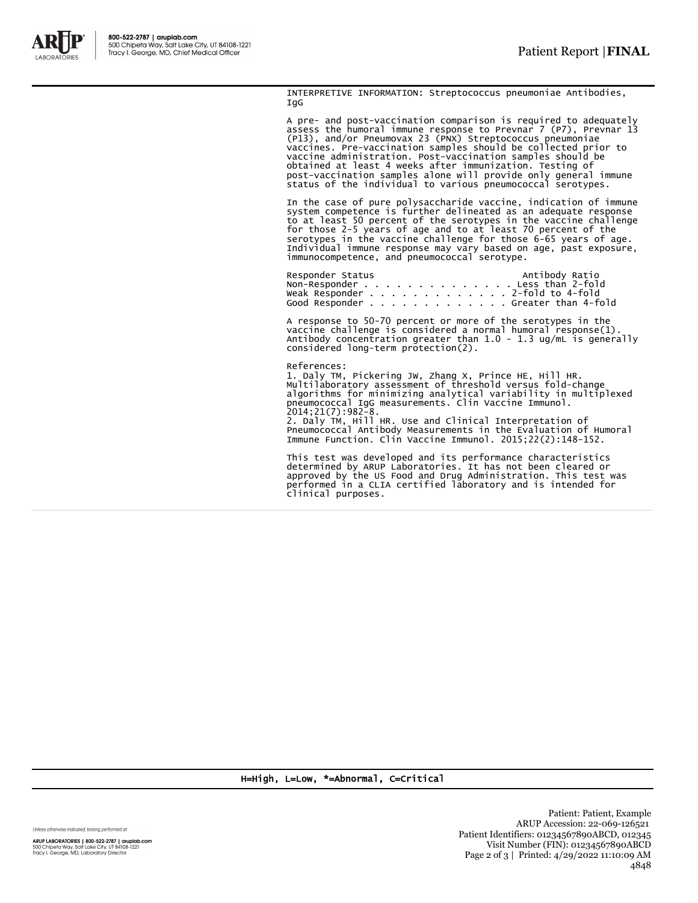

INTERPRETIVE INFORMATION: Streptococcus pneumoniae Antibodies, IgG

A pre- and post-vaccination comparison is required to adequately assess the humoral immune response to Prevnar 7 (P7), Prevnar 13 (P13), and/or Pneumovax 23 (PNX) Streptococcus pneumoniae vaccines. Pre-vaccination samples should be collected prior to vaccine administration. Post-vaccination samples should be obtained at least 4 weeks after immunization. Testing of post-vaccination samples alone will provide only general immune status of the individual to various pneumococcal serotypes.

In the case of pure polysaccharide vaccine, indication of immune<br>system competence is further delineated as an adequate response<br>to at least 50 percent of the serotypes in the vaccine challenge<br>for those 2-5 years of age a

Responder Status Antibody Ratio Non-Responder . . . . . . . . . . . . . . Less than 2-fold Weak Responder . . . . . . . . . . . . . 2-fold to 4-fold Good Responder . . . . . . . . . . . . . Greater than 4-fold

A response to 50-70 percent or more of the serotypes in the vaccine challenge is considered a normal humoral response(1). Antibody concentration greater than 1.0 - 1.3 ug/mL is generally considered long-term protection(2).

References: 1. Daly TM, Pickering JW, Zhang X, Prince HE, Hill HR. Multilaboratory assessment of threshold versus fold-change algorithms for minimizing analytical variability in multiplexed pneumococcal IgG measurements. Clin Vaccine Immunol. 2014;21(7):982-8. 2. Daly TM, Hill HR. Use and Clinical Interpretation of Pneumococcal Antibody Measurements in the Evaluation of Humoral Immune Function. Clin Vaccine Immunol. 2015;22(2):148-152.

This test was developed and its performance characteristics determined by ARUP Laboratories. It has not been cleared or approved by the US Food and Drug Administration. This test was performed in a CLIA certified laboratory and is intended for clinical purposes.

H=High, L=Low, \*=Abnormal, C=Critical

Unless otherwise indicated, testing performed at:

ARUP LABORATORIES | 800-522-2787 | aruplab.com 500 Chipeta Way, Salt Lake City, UT 84108-1221<br>Tracy I. George, MD, Laboratory Director

Patient: Patient, Example ARUP Accession: 22-069-126521 Patient Identifiers: 01234567890ABCD, 012345 Visit Number (FIN): 01234567890ABCD Page 2 of 3 | Printed: 4/29/2022 11:10:09 AM 4848